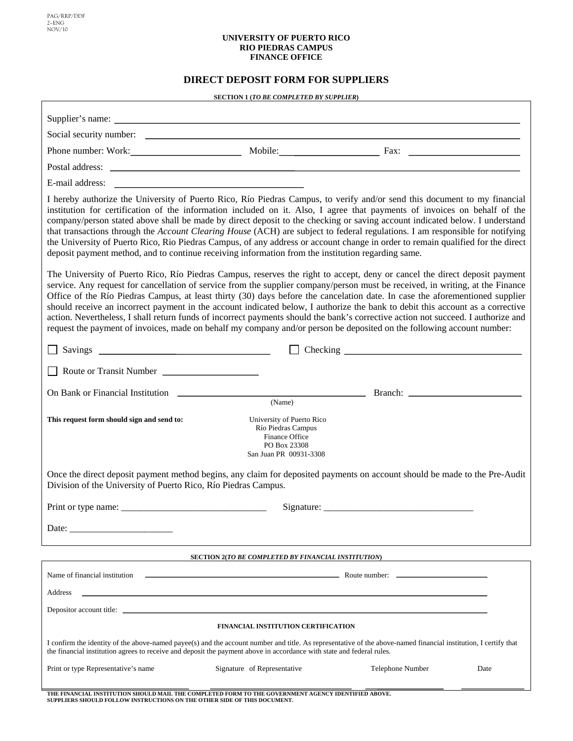PAG/RRP/DDF 2–ENG NOV/10

#### **UNIVERSITY OF PUERTO RICO RIO PIEDRAS CAMPUS FINANCE OFFICE**

# **DIRECT DEPOSIT FORM FOR SUPPLIERS**

| <b>SECTION 1 (TO BE COMPLETED BY SUPPLIER)</b> |  |
|------------------------------------------------|--|
|                                                |  |

| Phone number: Work: Mobile: Mobile: Fax: Fax: Nobile: Fax: Nobile: Fax: Nobile: Fax: Nobile: Fax: Nobile: Fax: Nobile: Example of the United States of the United States of the United States of the United States of the Unit                                                                                                                                                                                                                                                                                                                                                                                                                                                                                                                                                                |                                                                                                                  |                  |      |  |
|-----------------------------------------------------------------------------------------------------------------------------------------------------------------------------------------------------------------------------------------------------------------------------------------------------------------------------------------------------------------------------------------------------------------------------------------------------------------------------------------------------------------------------------------------------------------------------------------------------------------------------------------------------------------------------------------------------------------------------------------------------------------------------------------------|------------------------------------------------------------------------------------------------------------------|------------------|------|--|
|                                                                                                                                                                                                                                                                                                                                                                                                                                                                                                                                                                                                                                                                                                                                                                                               |                                                                                                                  |                  |      |  |
| E-mail address: <u>contract the contract of the contract of the contract of the contract of the contract of the contract of the contract of the contract of the contract of the contract of the contract of the contract of the </u>                                                                                                                                                                                                                                                                                                                                                                                                                                                                                                                                                          |                                                                                                                  |                  |      |  |
| I hereby authorize the University of Puerto Rico, Río Piedras Campus, to verify and/or send this document to my financial<br>institution for certification of the information included on it. Also, I agree that payments of invoices on behalf of the<br>company/person stated above shall be made by direct deposit to the checking or saving account indicated below. I understand<br>that transactions through the Account Clearing House (ACH) are subject to federal regulations. I am responsible for notifying<br>the University of Puerto Rico, Rio Piedras Campus, of any address or account change in order to remain qualified for the direct<br>deposit payment method, and to continue receiving information from the institution regarding same.                               |                                                                                                                  |                  |      |  |
| The University of Puerto Rico, Río Piedras Campus, reserves the right to accept, deny or cancel the direct deposit payment<br>service. Any request for cancellation of service from the supplier company/person must be received, in writing, at the Finance<br>Office of the Río Piedras Campus, at least thirty (30) days before the cancelation date. In case the aforementioned supplier<br>should receive an incorrect payment in the account indicated below, I authorize the bank to debit this account as a corrective<br>action. Nevertheless, I shall return funds of incorrect payments should the bank's corrective action not succeed. I authorize and<br>request the payment of invoices, made on behalf my company and/or person be deposited on the following account number: |                                                                                                                  |                  |      |  |
|                                                                                                                                                                                                                                                                                                                                                                                                                                                                                                                                                                                                                                                                                                                                                                                               |                                                                                                                  |                  |      |  |
| Route or Transit Number                                                                                                                                                                                                                                                                                                                                                                                                                                                                                                                                                                                                                                                                                                                                                                       |                                                                                                                  |                  |      |  |
|                                                                                                                                                                                                                                                                                                                                                                                                                                                                                                                                                                                                                                                                                                                                                                                               | (Name)                                                                                                           |                  |      |  |
| This request form should sign and send to:                                                                                                                                                                                                                                                                                                                                                                                                                                                                                                                                                                                                                                                                                                                                                    | University of Puerto Rico<br>Río Piedras Campus<br>Finance Office<br>PO Box 23308<br>San Juan PR 00931-3308      |                  |      |  |
| Once the direct deposit payment method begins, any claim for deposited payments on account should be made to the Pre-Audit<br>Division of the University of Puerto Rico, Río Piedras Campus.                                                                                                                                                                                                                                                                                                                                                                                                                                                                                                                                                                                                  |                                                                                                                  |                  |      |  |
| Print or type name: $\frac{1}{\sqrt{1-\frac{1}{2}}}\left[\frac{1}{\sqrt{1-\frac{1}{2}}}\right]$                                                                                                                                                                                                                                                                                                                                                                                                                                                                                                                                                                                                                                                                                               |                                                                                                                  |                  |      |  |
| Date:                                                                                                                                                                                                                                                                                                                                                                                                                                                                                                                                                                                                                                                                                                                                                                                         |                                                                                                                  |                  |      |  |
| <b>SECTION 2(TO BE COMPLETED BY FINANCIAL INSTITUTION)</b>                                                                                                                                                                                                                                                                                                                                                                                                                                                                                                                                                                                                                                                                                                                                    |                                                                                                                  |                  |      |  |
|                                                                                                                                                                                                                                                                                                                                                                                                                                                                                                                                                                                                                                                                                                                                                                                               |                                                                                                                  |                  |      |  |
| Address                                                                                                                                                                                                                                                                                                                                                                                                                                                                                                                                                                                                                                                                                                                                                                                       | and the control of the control of the control of the control of the control of the control of the control of the |                  |      |  |
| Depositor account title:                                                                                                                                                                                                                                                                                                                                                                                                                                                                                                                                                                                                                                                                                                                                                                      |                                                                                                                  |                  |      |  |
| FINANCIAL INSTITUTION CERTIFICATION                                                                                                                                                                                                                                                                                                                                                                                                                                                                                                                                                                                                                                                                                                                                                           |                                                                                                                  |                  |      |  |
| I confirm the identity of the above-named payee(s) and the account number and title. As representative of the above-named financial institution, I certify that<br>the financial institution agrees to receive and deposit the payment above in accordance with state and federal rules.                                                                                                                                                                                                                                                                                                                                                                                                                                                                                                      |                                                                                                                  |                  |      |  |
| Print or type Representative's name                                                                                                                                                                                                                                                                                                                                                                                                                                                                                                                                                                                                                                                                                                                                                           | Signature of Representative                                                                                      | Telephone Number | Date |  |
| THE FINANCIAL INSTITUTION SHOULD MAIL THE COMPLETED FORM TO THE GOVERNMENT AGENCY IDENTIFIED ABOVE.<br>SUPPLIERS SHOULD FOLLOW INSTRUCTIONS ON THE OTHER SIDE OF THIS DOCUMENT.                                                                                                                                                                                                                                                                                                                                                                                                                                                                                                                                                                                                               |                                                                                                                  |                  |      |  |